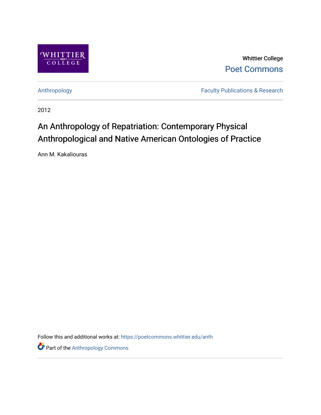

Whittier College [Poet Commons](https://poetcommons.whittier.edu/) 

[Anthropology](https://poetcommons.whittier.edu/anth) **Faculty Publications & Research** 

2012

## An Anthropology of Repatriation: Contemporary Physical Anthropological and Native American Ontologies of Practice

Ann M. Kakaliouras

Follow this and additional works at: [https://poetcommons.whittier.edu/anth](https://poetcommons.whittier.edu/anth?utm_source=poetcommons.whittier.edu%2Fanth%2F1&utm_medium=PDF&utm_campaign=PDFCoverPages) 

**Part of the [Anthropology Commons](http://network.bepress.com/hgg/discipline/318?utm_source=poetcommons.whittier.edu%2Fanth%2F1&utm_medium=PDF&utm_campaign=PDFCoverPages)**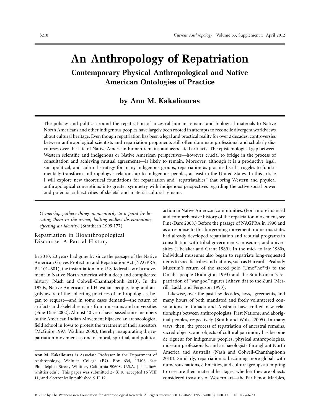# **An Anthropology of Repatriation**

**Contemporary Physical Anthropological and Native American Ontologies of Practice**

### **by Ann M. Kakaliouras**

The policies and politics around the repatriation of ancestral human remains and biological materials to Native North Americans and other indigenous peoples have largely been rooted in attempts to reconcile divergent worldviews about cultural heritage. Even though repatriation has been a legal and practical reality for over 2 decades, controversies between anthropological scientists and repatriation proponents still often dominate professional and scholarly discourses over the fate of Native American human remains and associated artifacts. The epistemological gap between Western scientific and indigenous or Native American perspectives—however crucial to bridge in the process of consultation and achieving mutual agreements—is likely to remain. Moreover, although it is a productive legal, sociopolitical, and cultural strategy for many indigenous groups, repatriation as practiced still struggles to fundamentally transform anthropology's relationship to indigenous peoples, at least in the United States. In this article I will explore new theoretical foundations for repatriation and "repatriatables" that bring Western and physical anthropological conceptions into greater symmetry with indigenous perspectives regarding the active social power and potential subjectivities of skeletal and material cultural remains.

*Ownership gathers things momentarily to a point by locating them in the owner, halting endless dissemination, effecting an identity.* (Strathern 1999:177)

Repatriation in Bioanthropological Discourse: A Partial History

In 2010, 20 years had gone by since the passage of the Native American Graves Protection and Repatriation Act (NAGPRA, PL 101–601), the instantiation into U.S. federal law of a movement in Native North America with a deep and complicated history (Nash and Colwell-Chanthaphonh 2010). In the 1970s, Native American and Hawaiian people, long and angrily aware of the collecting practices of anthropologists, began to request—and in some cases demand—the return of artifacts and skeletal remains from museums and universities (Fine-Dare 2002). Almost 40 years have passed since members of the American Indian Movement hijacked an archaeological field school in Iowa to protest the treatment of their ancestors (McGuire 1997; Watkins 2000), thereby inaugurating the repatriation movement as one of moral, spiritual, and political

**Ann M. Kakaliouras** is Associate Professor in the Department of Anthropology, Whittier College (P.O. Box 634, 13406 East Philadelphia Street, Whittier, California 90608, U.S.A. [\[akakalio@](mailto:akakalio@whittier.edu) [whittier.edu\]](mailto:akakalio@whittier.edu)). This paper was submitted 27 X 10, accepted 16 VIII 11, and electronically published 9 II 12.

action in Native American communities. (For a more nuanced and comprehensive history of the repatriation movement, see Fine-Dare 2008.) Before the passage of NAGPRA in 1990 and as a response to this burgeoning movement, numerous states had already developed repatriation and reburial programs in consultation with tribal governments, museums, and universities (Ubelaker and Grant 1989). In the mid- to late 1980s, individual museums also began to repatriate long-requested items to specific tribes and nations, such as Harvard's Peabody Museum's return of the sacred pole (Umo<sup>n</sup>'ho<sup>n</sup>'ti) to the Omaha people (Ridington 1993) and the Smithsonian's repatriation of "war god" figures (Ahayu:da) to the Zuni (Merrill, Ladd, and Ferguson 1993).

Likewise, over the past few decades, laws, agreements, and many hours of both mandated and freely volunteered consultations in Canada and Australia have crafted new relationships between anthropologists, First Nations, and aboriginal peoples, respectively (Smith and Wobst 2005). In many ways, then, the process of repatriation of ancestral remains, sacred objects, and objects of cultural patrimony has become de rigueur for indigenous peoples, physical anthropologists, museum professionals, and archaeologists throughout North America and Australia (Nash and Colwell-Chanthaphonh 2010). Similarly, repatriation is becoming more global, with numerous nations, ethnicities, and cultural groups attempting to resecure their material heritages, whether they are objects considered treasures of Western art—the Parthenon Marbles,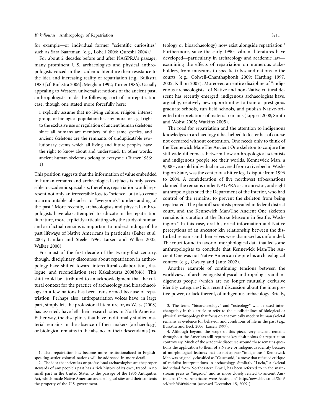for example—or individual former "scientific curiosities" such as Sara Baartman (e.g., Lobell 2006; Qureshi 2004).<sup>1</sup>

For about 2 decades before and after NAGPRA's passage, many prominent U.S. archaeologists and physical anthropologists voiced in the academic literature their resistance to the idea and increasing reality of repatriation (e.g., Buikstra 1983 [cf. Buikstra 2006]; Meighan 1992; Turner 1986). Usually appealing to Western universalist notions of the ancient past, anthropologists made the following sort of antirepatriation case, though one stated more forcefully here:

I explicitly assume that no living culture, religion, interest group, or biological population has any moral or legal right to the exclusive use or regulation of ancient human skeletons since all humans are members of the same species, and ancient skeletons are the remnants of unduplicatable evolutionary events which all living and future peoples have the right to know about and understand. In other words, ancient human skeletons belong to everyone. (Turner 1986: 1)

This position suggests that the information of value embedded in human remains and archaeological artifacts is only accessible to academic specialists; therefore, repatriation would represent not only an irreversible loss to "science" but also create insurmountable obstacles to "everyone's" understanding of the past.<sup>2</sup> More recently, archaeologists and physical anthropologists have also attempted to educate in the repatriation literature, more explicitly articulating why the study of human and artifactual remains is important to understandings of the past lifeways of Native Americans in particular (Baker et al. 2001; Landau and Steele 1996; Larsen and Walker 2005; Walker 2000).

For most of the first decade of the twenty-first century, though, disciplinary discourses about repatriation in anthropology have shifted toward intercultural collaboration, dialogue, and reconciliation (see Kakaliouras 2008*b*:46). This shift could be attributed to an acknowledgment that the cultural context for the practice of archaeology and bioarchaeology in a few nations has been transformed because of repatriation. Perhaps also, antirepatriation voices have, in large part, simply left the professional literature or, as Weiss (2008) has asserted, have left their research sites in North America. Either way, the disciplines that have traditionally studied material remains in the absence of their makers (archaeology) or biological remains in the absence of their descendants (os-

1. That repatriation has become more institutionalized in Englishspeaking settler colonial nations will be addressed in more detail.

2. The idea that scientists or professional archaeologists are the proper stewards of any people's past has a rich history of its own, traced in no small part in the United States to the passage of the 1906 Antiquities Act, which made Native American archaeological sites and their contents the property of the U.S. government.

teology or bioarchaeology) now exist alongside repatriation.<sup>3</sup> Furthermore, since the early 1990s vibrant literatures have developed—particularly in archaeology and academic law examining the effects of repatriation on numerous stakeholders, from museums to specific tribes and nations to the courts (e.g., Colwell-Chanthaphonh 2009; Harding 1997, 2005; Killion 2007). Moreover, an entire discipline of "indigenous archaeologists" of Native and non-Native cultural descent has recently emerged; indigenous archaeologists have, arguably, relatively new opportunities to train at prestigious graduate schools, run field schools, and publish Native-oriented interpretations of material remains (Lippert 2008; Smith and Wobst 2005; Watkins 2005).

The road for repatriation and the attention to indigenous knowledges in archaeology it has helped to foster has of course not occurred without contention. One needs only to think of the Kennewick Man/The Ancient One skeleton to conjure the still wide differences between how anthropological scientists and indigenous people see their worlds. Kennewick Man, a 9,000-year-old individual uncovered from a riverbed in Washington State, was the center of a bitter legal dispute from 1996 to 2004. A confederation of five northwest tribes/nations claimed the remains under NAGPRA as an ancestor, and eight anthropologists sued the Department of the Interior, who had control of the remains, to prevent the skeleton from being repatriated. The plaintiff scientists prevailed in federal district court, and the Kennewick Man/The Ancient One skeleton remains in curation at the Burke Museum in Seattle, Washington.4 In this case, oral historical information and Native perceptions of an ancestor kin relationship between the disturbed remains and themselves were dismissed as unfounded. The court found in favor of morphological data that led some anthropologists to conclude that Kennewick Man/The Ancient One was not Native American despite his archaeological context (e.g., Owsley and Jantz 2002).

Another example of continuing tensions between the worldviews of archaeologists/physical anthropologists and indigenous people (which are no longer mutually exclusive identity categories) is a recent discussion about the interpretive power, or lack thereof, of indigenous archaeology. Briefly,

4. Although beyond the scope of this piece, very ancient remains throughout the Americas still represent key flash points for repatriation controversy. Much of the academic discourse around these remains questions the application to them of a Native or indigenous identity because of morphological features that do not appear "indigenous." Kennewick Man was originally classified as "Caucasoid," a move that refueled critique of racialist interpretations in archaeology. Similarly "Lucia," a skeletal individual from Northeastern Brazil, has been referred to in the mainstream press as "negroid" and as more closely related to ancient Australians ("First Americans were Australian" [http://news.bbc.co.uk/2/hi/](http://news.bbc.co.uk/2/hi/sci/tech/430944.stm) [sci/tech/430944.stm](http://news.bbc.co.uk/2/hi/sci/tech/430944.stm) [accessed December 15, 2009]).

<sup>3.</sup> The terms "bioarchaeology" and "osteology" will be used interchangeably in this article to refer to the subdisciplines of biological or physical anthropology that focus on anatomically modern human skeletal remains as evidence for behavior and conditions of life in the past (e.g., Buikstra and Beck 2006; Larsen 1997).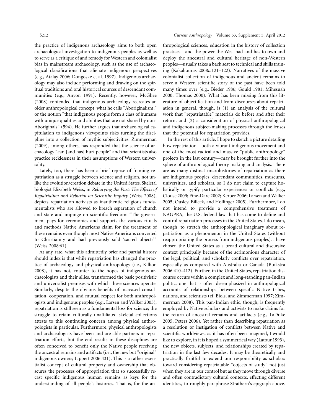the practice of indigenous archaeology aims to both open archaeological investigation to indigenous peoples as well as to serve as a critique of and remedy for Western and colonialist bias in mainstream archaeology, such as the use of archaeological classifications that alienate indigenous perspectives (e.g., Atalay 2006; Dongoske et al. 1997). Indigenous archaeology may also include performing and drawing on the spiritual traditions and oral historical sources of descendant communities (e.g., Anyon 1991). Recently, however, McGhee (2008) contended that indigenous archaeology recreates an older anthropological concept, what he calls "Aboriginalism," or the notion "that indigenous people form a class of humans with unique qualities and abilities that are not shared by non-Aboriginals" (594). He further argues that archaeological capitulation to indigenous viewpoints risks turning the discipline into a collection of mythic subjectivities. Zimmerman (2009), among others, has responded that the science of archaeology "can [and has] hurt people" and that scientists also practice recklessness in their assumptions of Western universality.

Lately, too, there has been a brief reprise of framing repatriation as a struggle between science and religion, not unlike the evolution/creation debate in the United States. Skeletal biologist Elizabeth Weiss, in *Reburying the Past: The Effects of Repatriation and Reburial on Scientific Inquiry* (Weiss 2008), depicts repatriation activists as inauthentic religious fundamentalists who are allowed to breach separation of church and state and impinge on scientific freedom: "The government pays for ceremonies and supports the various rituals and methods Native Americans claim for the treatment of these remains even though most Native Americans converted to Christianity and had previously sold 'sacred objects'" (Weiss 2008:61).

At any rate, what this admittedly brief and partial history should index is that while repatriation has changed the practice of archaeology and physical anthropology (i.e., Killion 2008), it has not, counter to the hopes of indigenous archaeologists and their allies, transformed the basic positivistic and universalist premises with which these sciences operate. Similarly, despite the obvious benefits of increased consultation, cooperation, and mutual respect for both anthropologists and indigenous peoples (e.g., Larsen and Walker 2005), repatriation is still seen as a fundamental loss for science; the struggle to retain culturally unaffiliated skeletal collections attests to this continuing concern among physical anthropologists in particular. Furthermore, physical anthropologists and archaeologists have been and are able partners in repatriation efforts, but the end results in these disciplines are often conceived to benefit only the Native people receiving the ancestral remains and artifacts (i.e., the new but "original" indigenous owners; Lippert 2006:431). This is a rather essentialist concept of cultural property and ownership that obscures the processes of appropriation that so successfully recast specific indigenous human remains as keys for the understanding of all people's histories. That is, for the an-

thropological sciences, education in the history of collection practices—and the power the West had and has to own and deploy the ancestral and cultural heritage of non-Western peoples—usually takes a back seat to technical and skills training (Kakaliouras 2008*a*:121–122). Narratives of the massive colonialist collection of indigenous and ancient remains to serve a Western scientific story of the past have been told many times over (e.g., Bieder 1986; Gould 1981; Mihesuah 2000; Thomas 2000). What has been missing from this literature of objectification and from discourses about repatriation in general, though, is (1) an analysis of the cultural work that "repatriatable" materials do before and after their return, and (2) a consideration of physical anthropological and indigenous subject-making processes through the lenses that the potential for repatriation provides.

In the rest of this article, I hope to sketch a picture detailing how repatriation—both a vibrant indigenous movement and one of the most radical and massive "public anthropology" projects in the last century—may be brought further into the sphere of anthropological theory making and analysis. There are as many distinct microhistories of repatriation as there are indigenous peoples, descendant communities, museums, universities, and scholars, so I do not claim to capture holistically or typify particular experiences or conflicts (e.g., Clouse 2009; Fine-Dare 2002; Kerber 2006; Larsen and Walker 2005; Ousley, Billeck, and Hollinger 2005). Furthermore, I do not intend to provide a comprehensive treatment of NAGPRA, the U.S. federal law that has come to define and control repatriation processes in the United States. I do mean, though, to stretch the anthropological imaginary about repatriation as a phenomenon in the United States (without reappropriating the process from indigenous peoples). I have chosen the United States as a broad cultural and discursive context principally because of the acrimonious character of the legal, political, and scholarly conflicts over repatriation, especially as compared with Australia or Canada (Buikstra 2006:410–412). Further, in the United States, repatriation discourse occurs within a complex and long-standing pan-Indian politic, one that is often de-emphasized in anthropological accounts of relationships between specific Native tribes, nations, and scientists (cf. Biolsi and Zimmerman 1997; Zimmerman 2008). This pan-Indian ethic, though, is frequently employed by Native scholars and activists to make claims for the return of ancestral remains and artifacts (e.g., LaDuke 2005; Peters 2006). Yet rather than describing repatriation as a resolution or instigation of conflicts between Native and scientific worldviews, as it has often been imagined, I would like to explore, in it is hoped a symmetrical way (Latour 1993), the new objects, subjects, and relationships created by repatriation in the last few decades. It may be theoretically and practically fruitful to extend our responsibility as scholars toward considering repatriatable "objects of study" not just when they are in our control but as they move through diverse and often contradictory cultural contexts, effecting different identities, to roughly paraphrase Strathern's epigraph above.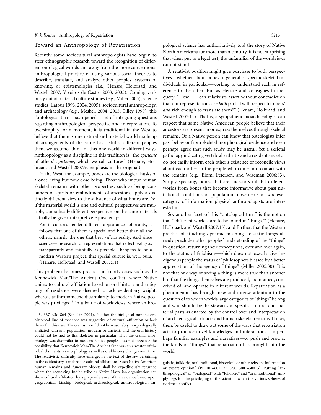#### Toward an Anthropology of Repatriation

Recently some sociocultural anthropologists have begun to steer ethnographic research toward the recognition of different ontological worlds and away from the more conventional anthropological practice of using various social theories to describe, translate, and analyze other peoples' systems of knowing, or epistemologies (i.e., Henare, Holbraad, and Wastell 2007; Viveiros de Castro 2003, 2005). Coming variously out of material culture studies (e.g., Miller 2005), science studies (Latour 1993, 2004, 2005), sociocultural anthropology, and archaeology (e.g., Meskell 2004, 2005; Tilley 1999), this "ontological turn" has opened a set of intriguing questions regarding anthropological perspective and interpretation. To oversimplify for a moment, it is traditional in the West to believe that there is one natural and material world made up of arrangements of the same basic stuffs; different peoples then, we assume, think of this one world in different ways. Anthropology as a discipline in this tradition is "the *episteme* of others' *epistemes*, which we call cultures" (Henare, Holbraad, and Wastell 2007:9; emphasis in the original).

In the West, for example, bones are the biological husks of a once living but now dead being. Those who imbue human skeletal remains with other properties, such as being containers of spirits or embodiments of ancestors, apply a distinctly different view to the substance of what bones are. Yet if the material world is one and cultural perspectives are multiple, can radically different perspectives on the same materials actually be given interpretive equivalency?

For if cultures render different appearances of reality, it follows that one of them is special and better than all the others, namely the one that best *reflects* reality. And since science—the search for representations that reflect reality as transparently and faithfully as possible—happens to be a modern Western project, that special culture is, well, ours. (Henare, Holbraad, and Wastell 2007:11)

This problem becomes practical in knotty cases such as the Kennewick Man/The Ancient One conflict, where Native claims to cultural affiliation based on oral history and antiquity of residence were deemed to lack evidentiary weight, whereas anthropometric dissimilarity to modern Native people was privileged.<sup>5</sup> In a battle of worldviews, where anthro-

5. 367 F.3d 864 (9th Cir. 2004). Neither the biological nor the oral historical line of evidence was suggestive of cultural affiliation or lack thereof in this case. The cranium could not be reasonably morphologically affiliated with any population, modern or ancient, and the oral history could not be tied to this skeleton in particular. That the cranial morphology was dissimilar to modern Native people does not foreclose the possibility that Kennewick Man/The Ancient One was an ancestor of the tribal claimants, as morphology as well as oral history changes over time. The relativistic difficulty here emerges in the text of the law pertaining to the evidentiary standard for cultural affiliation: "Such Native American human remains and funerary objects shall be expeditiously returned where the requesting Indian tribe or Native Hawaiian organization can show cultural affiliation by a preponderance of the evidence based upon geographical, kinship, biological, archaeological, anthropological, lin-

pological science has authoritatively told the story of Native North Americans for more than a century, it is not surprising that when put to a legal test, the unfamiliar of the worldviews cannot stand.

A relativist position might give purchase to both perspectives—whether about bones in general or specific skeletal individuals in particular—working to understand each in reference to the other. But as Henare and colleagues further query, "How . . . can relativists assert without contradiction that our representations are *both* partial with respect to others' *and* rich enough to translate them?" (Henare, Holbraad, and Wastell 2007:11). That is, a sympathetic bioarchaeologist can respect that some Native American people believe that their ancestors are present in or express themselves through skeletal remains. Or a Native person can know that osteologists infer past behavior from skeletal morphological evidence and even perhaps agree that such study may be useful. Yet a skeletal pathology indicating vertebral arthritis and a resident ancestor do not easily inform each other's existence or reconcile views about each other in the people who come into contact with the remains (e.g., Blom, Petersen, and Wiseman 2006:83). Simply speaking, bones that are ancestors inhabit different worlds from bones that become informative about past nutritional conditions or population movements or whatever category of information physical anthropologists are interested in.

So, another facet of this "ontological turn" is the notion that "'different worlds' are to be found in 'things,'" (Henare, Holbraad, and Wastell 2007:15), and further, that the Western practice of attaching dynamic meanings to static things already precludes other peoples' understanding of the "things" in question, returning their conceptions, over and over again, to the status of fetishism—which does not exactly give indigenous people the status of "philosophers blessed by a better appreciation of the agency of things" (Miller 2005:30). It is not that one way of seeing a thing is more true than another but that the things themselves are produced, maintained, conceived of, and operate in different worlds. Repatriation as a phenomenon has brought new and intense attention to the question of to which worlds large categories of "things" belong and who should be the stewards of specific cultural and material pasts as enacted by the control over and interpretation of archaeological artifacts and human skeletal remains. It may, then, be useful to draw out some of the ways that repatriation acts to produce novel knowledges and interactions—in perhaps familiar examples and narratives—to push and prod at the kinds of "things" that repatriation has brought into the world.

guistic, folkloric, oral traditional, historical, or other relevant information or expert opinion" (PL 101–601; 25 USC 3001–30013). Putting "anthropological" or "biological" with "folkloric" and "oral traditional" simply begs for the privileging of the scientific when the various spheres of evidence conflict.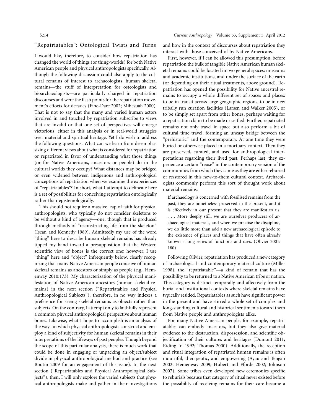#### "Repatriatables": Ontological Twists and Turns

I would like, therefore, to consider how repatriation has changed the world of things (or thing-worlds) for both Native American people and physical anthropologists specifically. Although the following discussion could also apply to the cultural remains of interest to archaeologists, human skeletal remains—the stuff of interpretation for osteologists and bioarchaeologists—are particularly charged in repatriation discourses and were the flash points for the repatriation movement's efforts for decades (Fine-Dare 2002; Mihesuah 2000). That is not to say that the many and varied human actors involved in and touched by repatriation subscribe to views that are invalid or that one set of perspectives will emerge victorious, either in this analysis or in real-world struggles over material and spiritual heritage. Yet I do wish to address the following questions. What can we learn from de-emphasizing different views about what is considered for repatriation or repatriated in favor of understanding what those things (or for Native Americans, ancestors or people) do in the cultural worlds they occupy? What distances may be bridged or even widened between indigenous and anthropological conceptions of repatriation when we examine the experiences of "repatriatables"? In short, what I attempt to delineate here is a set of possibilities for conceiving repatriation ontologically rather than epistemologically.

This should not require a massive leap of faith for physical anthropologists, who typically do not consider skeletons to be without a kind of agency—one, though that is produced through methods of "reconstructing life from the skeleton" (Iscan and Kennedy 1989). Admittedly my use of the word "thing" here to describe human skeletal remains has already tipped my hand toward a presupposition that the Western scientific view of bones is the correct one; however, I use "thing" here and "object" infrequently below, clearly recognizing that many Native American people conceive of human skeletal remains as ancestors or simply as people (e.g., Hemenway 2010:173). My characterization of the physical manifestation of Native American ancestors (human skeletal remains) in the next section ("Repatriatables and Physical Anthropological Subjects"), therefore, in no way indexes a preference for seeing skeletal remains as objects rather than subjects. On the contrary, I attempt only to faithfully represent a common physical anthropological perspective about human bones. Likewise, what I hope to accomplish is an analysis of the ways in which physical anthropologists construct and employ a kind of subjectivity for human skeletal remains in their interpretations of the lifeways of past peoples. Though beyond the scope of this particular analysis, there is much work that could be done in engaging or unpacking an object/subject divide in physical anthropological method and practice (see Boutin 2009 for an engagement of this issue). In the next section ("Repatriatables and Physical Anthropological Subjects"), then, I will only explore the varied subjects that physical anthropologists make and gather in their investigations

and how in the context of discourses about repatriation they interact with those conceived of by Native Americans.

First, however, if I can be allowed this presumption, before repatriation the bulk of tangible Native American human skeletal remains could be located in two general spaces: museums and academic institutions, and under the surface of the earth (or depending on their ritual treatments, above ground). Repatriation has opened the possibility for Native ancestral remains to occupy a whole different set of spaces and places: to be in transit across large geographic regions, to be in new tribally run curation facilities (Larsen and Walker 2005), or to be simply set apart from other bones, perhaps waiting for a repatriation claim to be made or settled. Further, repatriated remains not only travel in space but also perform a bit of cultural time travel, forming an uneasy bridge between the "prehistoric" and the contemporary. At one time they were buried or otherwise placed in a mortuary context. Then they are preserved, curated, and used for anthropological interpretations regarding their lived past. Perhaps last, they experience a certain "reuse" in the contemporary version of the communities from which they came as they are either reburied or re/stored in this new-to-them cultural context. Archaeologists commonly perform this sort of thought work about material remains:

If archaeology is concerned with fossilised remains from the past, they are nonetheless preserved in the present, and it is effectively in our present that they are manifest to us. . . . More deeply still, we are ourselves producers of archaeological materials, and when we practise the discipline, we do little more than add a new archaeological episode to the existence of places and things that have often already known a long series of functions and uses. (Olivier 2001: 180)

Following Olivier, repatriation has produced a new category of archaeological and contemporary material culture (Miller 1998), the "repatriatable"—a kind of remain that has the possibility to be returned to a Native American tribe or nation. This category is distinct temporally and affectively from the burial and institutional contexts where skeletal remains have typically resided. Repatriatables as such have significant power in the present and have stirred a whole set of complex and long-standing cultural and historical sentiments toward them from Native people and anthropologists alike.

For many Native American people, for example, repatriatables can embody ancestors, but they also give material evidence to the destruction, dispossession, and scientific objectification of their cultures and heritages (Dumont 2011; Riding In 1992; Thomas 2000). Additionally, the reception and ritual integration of repatriated human remains is often mournful, therapeutic, and empowering (Ayau and Tengan 2002; Hemenway 2009; Hubert and Fforde 2002; Johnson 2007). Some tribes even developed new ceremonies specific to reburials because that category of ritual never existed before the possibility of receiving remains for their care became a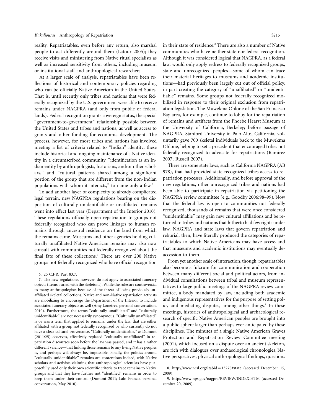reality. Repatriatables, even before any return, also marshal people to act differently around them (Latour 2005); they receive visits and ministering from Native ritual specialists as well as increased sensitivity from others, including museum or institutional staff and anthropological researchers.

At a larger scale of analysis, repatriatables have been reflections of historical and contemporary policies regarding who can be officially Native American in the United States. That is, until recently only tribes and nations that were federally recognized by the U.S. government were able to receive remains under NAGPRA (and only from public or federal lands). Federal recognition grants sovereign status, the special "government-to-government" relationship possible between the United States and tribes and nations, as well as access to grants and other funding for economic development. The process, however, for most tribes and nations has involved meeting a list of criteria related to "Indian" identity; these include historical and ongoing maintenance of a Native identity in a circumscribed community, "identification as an Indian entity by anthropologists, historians, and/or other scholars," and "cultural patterns shared among a significant portion of the group that are different from the non-Indian populations with whom it interacts," to name only a few.<sup>6</sup>

To add another layer of complexity to already complicated legal terrain, new NAGPRA regulations bearing on the disposition of culturally unidentifiable or unaffiliated remains went into effect last year (Department of the Interior 2010). These regulations officially open repatriation to groups not federally recognized who can prove linkages to human remains through ancestral residence on the land from which the remains came. Museums and other agencies holding culturally unaffiliated Native American remains may also now consult with communities not federally recognized about the final fate of these collections.<sup>7</sup> There are over 200 Native groups not federally recognized who have official recognition

7. The new regulations, however, do not apply to associated funerary objects (items buried with the skeletons). While the rules are controversial to many anthropologists because of the threat of losing previously unaffiliated skeletal collections, Native and non-Native repatriation activists are mobilizing to encourage the Department of the Interior to include associated funerary objects as well (Amy Lonetree, personal conversation, 2010). Furthermore, the terms "culturally unaffiliated" and "culturally unidentifiable" are not necessarily synonymous. "Culturally unaffiliated" is or was a term that applied to remains, under the law, that are either affiliated with a group not federally recognized or who currently do not have a clear cultural provenance. "Culturally unidentifiable," as Dumont (2011:25) observes, effectively replaced "culturally unaffiliated" in repatriation discourses soon before the law was passed, and it has a rather different valence—that linking those remains to any living Native peoples is, and perhaps will always be, impossible. Finally, the politics around "culturally unidentifiable" remains are contentious indeed, with Native scholars and activists claiming that anthropological scientists have purposefully used only their own scientific criteria to trace remains to Native groups and that they have further not "identified" remains in order to keep them under their control (Dumont 2011; Lalo Franco, personal conversation, May 2010).

in their state of residence.<sup>8</sup> There are also a number of Native communities who have neither state nor federal recognition. Although it was considered logical that NAGPRA, as a federal law, would only apply redress to federally recognized groups, state and unrecognized peoples—some of whom can trace their material heritages to museums and academic institutions—had previously been largely cut out of official policy, in part creating the category of "unaffiliated" or "unidentifiable" remains. Some groups not federally recognized mobilized in response to their original exclusion from repatriation legislation. The Muwekma Ohlone of the San Francisco Bay area, for example, continue to lobby for the repatriation of remains and artifacts from the Phoebe Hearst Museum at the University of California, Berkeley; before passage of NAGPRA, Stanford University in Palo Alto, California, voluntarily gave 700 skeletal individuals back to the Muwekma Ohlone, helping to set a precedent that encouraged tribes not federally recognized to advocate for repatriations (Ramirez 2007; Russell 2007).

There are some state laws, such as California NAGPRA (AB 978), that had provided state-recognized tribes access to repatriation processes. Additionally, and before approval of the new regulations, other unrecognized tribes and nations had been able to participate in repatriation via petitioning the NAGPRA review committee (e.g., Goodby 2006:98–99). Now that the federal law is open to communities not federally recognized, thousands of remains that were once considered "unidentifiable" may gain new cultural affiliations and be returned to tribes and nations that hitherto had few rights under law. NAGPRA and state laws that govern repatriation and reburial, then, have literally produced the categories of repatriatables to which Native Americans may have access and that museums and academic institutions may eventually deaccession to them.

From yet another scale of interaction, though, repatriatables also become a fulcrum for communication and cooperation between many different social and political actors, from individual consultations between tribal and museum representatives to large public meetings of the NAGPRA review committee, a body mandated by law, including both academic and indigenous representatives for the purpose of setting policy and mediating disputes, among other things.<sup>9</sup> In these meetings, histories of anthropological and archaeological research of specific Native American peoples are brought into a public sphere larger than perhaps ever anticipated by these disciplines. The minutes of a single Native American Graves Protection and Repatriation Review Committee meeting (2001), which focused on a dispute over an ancient skeleton, are rich with dialogues over archaeological chronologies, Native perspectives, physical anthropological findings, questions

<sup>6. 25</sup> C.F.R. Part 83.7.

<sup>8.</sup> [http://www.ncsl.org/?tabid](http://www.ncsl.org/?tabid=13278#state)=13278#state (accessed December 15, 2009).

<sup>9.</sup><http://www.nps.gov/nagpra/REVIEW/INDEX.HTM> (accessed December 20, 2009).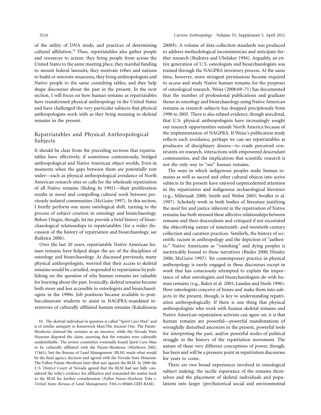of the utility of DNA study, and practices of determining cultural affiliation.<sup>10</sup> Thus, repatriatables also gather people and resources to action: they bring people from across the United States to the same meeting place, they marshal funding to mount federal lawsuits, they motivate tribes and nations to build or renovate museums, they bring anthropologists and Native people to the same consulting tables, and they help shape discourses about the past in the present. In the next section, I will focus on how human remains as repatriatables have transformed physical anthropology in the United States and have challenged the very particular subjects that physical anthropologists work with as they bring meaning to skeletal remains in the present.

#### Repatriatables and Physical Anthropological Subjects

It should be clear from the preceding sections that repatriatables have effectively, if sometimes contentiously, bridged anthropological and Native American object worlds. Even in moments when the gaps between them are potentially rent wider—such as physical anthropological avoidance of North American research sites or calls for the wholesale repatriation of all Native remains (Riding In 1992)—their proliferation results in novel and compelling cultural work between previously isolated communities (McGuire 1997). In this section, I briefly perform one more ontological shift, turning to the process of subject creation in osteology and bioarchaeology. Before I begin, though, let me provide a brief history of bioarchaeological relationships to repatriatables (for a wider discussion of the history of repatriation and bioarchaeology, see Buikstra 2006).

Over the last 20 years, repatriatable Native American human remains have helped shape the arc of the disciplines of osteology and bioarchaeology. As discussed previously, many physical anthropologists, worried that their access to skeletal remains would be curtailed, responded to repatriation by publishing on the question of why human remains are valuable for learning about the past. Ironically, skeletal remains became both more and less accessible to osteologists and bioarchaeologists in the 1990s. Job positions became available to postbaccalaureate students to assist in NAGPRA-mandated inventories of culturally affiliated human remains (Kakaliouras

10. The skeletal individual in question is called "Spirit Cave Man" and is of similar antiquity to Kennewick Man/The Ancient One. The Paiute-Shoshone claimed the remains as an ancestor, while the Nevada State Museum disputed the claim, asserting that the remains were culturally unidentifiable. The review committee eventually found Spirit Cave Man to be culturally affiliated with the Paiute-Shoshone (Minthorn 2002: 17463), but the Bureau of Land Management (BLM) made what would be the final agency decision and agreed with the Nevada State Museum. The Fallon Paiute-Shoshone later filed suit against the BLM. In 2006 the U.S. District Court of Nevada agreed that the BLM had not fully considered the tribe's evidence for affiliation and remanded the matter back to the BLM for further consideration (*Fallon Paiute-Shoshone Tribe v. United States Bureau of Land Management*, 3:04-cv-00466-LRH-RAM).

2008*b*). A volume of data-collection standards was produced to address methodological inconsistencies and anticipate further research (Buikstra and Ubelaker 1994). Arguably, an entire generation of U.S. osteologists and bioarchaeologists was trained through the NAGPRA inventory process. At the same time, however, more stringent permissions became required to access and study Native human remains for the purposes of osteological research. Weiss (2008:69–71) has documented that the number of professional publications and graduate theses in osteology and bioarchaeology using Native American remains as research subjects has dropped precipitously from 1990 to 2005. There is also related evidence, though anecdotal, that U.S. physical anthropologists have increasingly sought out research opportunities outside North America because of the implementation of NAGPRA. If Weiss's publication study reflects such avoidance, perhaps we can see repatriatables as producers of disciplinary desires—to evade perceived constraints on research, interactions with empowered descendant communities, and the implications that scientific research is not the only way to "see" human remains.

The ways in which indigenous peoples make human remains as well as sacred and other cultural objects into active subjects in the present have enjoyed unprecedented attention in the repatriation and indigenous archaeological literature (e.g., Mihesuah 2000; Smith and Wobst 2005; Swidler et al. 1997). Scholarly work in both bodies of literature justifying the need for and justice inherent in the repatriation of Native remains has both stressed these affective relationships between remains and their descendants and critiqued if not excoriated the objectifying nature of nineteenth- and twentieth-century collection and curation practices. Similarly, the history of scientific racism in anthropology and the depiction of "authentic" Native Americans as "vanishing" and dying peoples is inextricably bound to these narratives (Bieder 2000; Hinsley 2000; McGuire 1997). Yet contemporary practice in physical anthropology is rarely engaged in these discourses except in work that has consciously attempted to explain the importance of what osteologists and bioarchaeologists do with human remains (e.g., Baker et al. 2001; Landau and Steele 1996). How osteologists conceive of bones and make them into subjects in the present, though, is key to understanding repatriation anthropologically. If there is one thing that physical anthropologists who work with human skeletal remains and Native American repatriation activists can agree on, it is that human remains are powerful—powerful manifestations of wrongfully disturbed ancestors in the present, powerful tools for interpreting the past, and/or powerful nodes of political struggle in the history of the repatriation movement. The nature of these very different conceptions of power, though, has been and will be a pressure point in repatriation discourses for years to come.

There are two broad experiences involved in osteological subject making: the tactile experience of the remains themselves and the placement of skeletal individuals and populations into larger (pre)historical social and environmental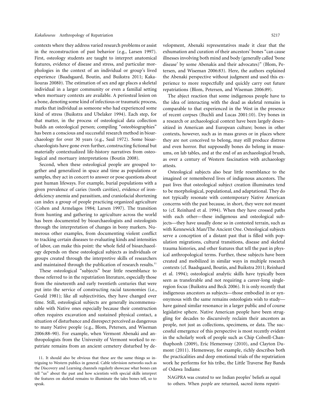contexts where they address varied research problems or assist in the reconstruction of past behavior (e.g., Larsen 1997). First, osteology students are taught to interpret anatomical features, evidence of disease and stress, and particular morphologies in the context of an individual or group's lived experience (Baadsgaard, Boutin, and Buikstra 2011; Kakaliouras 2008*b*). The estimation of sex and age places a skeletal individual in a larger community or even a familial setting when mortuary contexts are available. A periosteal lesion on a bone, denoting some kind of infectious or traumatic process, marks that individual as someone who had experienced some kind of stress (Buikstra and Ubelaker 1994). Each step, for that matter, in the process of osteological data collection builds an osteological person; compiling "osteobiographies" has been a conscious and successful research method in bioarchaeology for over 30 years (e.g., Saul 1972). Some bioarchaeologists have gone even further, constructing fictional but materially contextualized life-history narratives from osteological and mortuary interpretations (Boutin 2008).

Second, when these osteological people are grouped together and generalized in space and time as populations or samples, they act in concert to answer or pose questions about past human lifeways. For example, burial populations with a given prevalence of caries (tooth cavities), evidence of irondeficiency anemia and parasitism, and craniofacial shortening can index a group of people practicing organized agriculture (Cohen and Armelagos 1984; Larsen 1997). The transition from hunting and gathering to agriculture across the world has been documented by bioarchaeologists and osteologists through the interpretation of changes in bony markers. Numerous other examples, from documenting violent conflict to tracking certain diseases to evaluating kinds and intensities of labor, can make this point: the whole field of bioarchaeology depends on these osteological subjects as individuals or groups created through the interpretive skills of researchers and maintained through the publication of research results.<sup>11</sup>

These osteological "subjects" bear little resemblance to those referred to in the repatriation literature, especially those from the nineteenth and early twentieth centuries that were put into the service of constructing racial taxonomies (i.e., Gould 1981); like all subjectivities, they have changed over time. Still, osteological subjects are generally incommensurable with Native ones especially because their construction often requires excavation and sustained physical contact, a situation of disturbance and disrespect perceived as dangerous to many Native people (e.g., Blom, Petersen, and Wiseman 2006:88–90). For example, when Vermont Abenaki and anthropologists from the University of Vermont worked to repatriate remains from an ancient cemetery disturbed by de-

velopment, Abenaki representatives made it clear that the exhumation and curation of their ancestors' bones "can cause illnesses involving both mind and body (generally called 'bone disease' by some Abenakis and their advocates)" (Blom, Petersen, and Wiseman 2006:83). Here, the authors explained the Abenaki perspective without judgment and used this experience to more respectfully and quickly carry out future repatriations (Blom, Petersen, and Wiseman 2006:89).

The abject reaction that some indigenous people have to the idea of interacting with the dead as skeletal remains is comparable to that experienced in the West in the presence of recent corpses (Buchli and Lucas 2001:10). Dry bones in a research or archaeological context have been largely desensitized in American and European culture; bones in other contexts, however, such as in mass graves or in places where they are not conceived to belong, may still produce distress and even horror. But supposedly bones do belong in museums, on lab tables, and at the end of an archaeological brush, as over a century of Western fascination with archaeology attests.

Osteological subjects also bear little resemblance to the imagined or remembered lives of indigenous ancestors. The past lives that osteological subject creation illuminates tend to be morphological, populational, and adaptational. They do not typically resonate with contemporary Native American concerns with the past because, in short, they were not meant to (cf. Reinhard et al. 1994). When they have crossed paths with each other—these indigenous and osteological subjects—they have usually done so in contested terrain, such as with Kennewick Man/The Ancient One. Osteological subjects serve a conception of a distant past that is filled with population migrations, cultural transitions, disease and skeletal trauma histories, and other features that tell the past in physical anthropological terms. Further, these subjects have been created and mobilized in similar ways in multiple research contexts (cf. Baadsgaard, Boutin, and Buikstra 2011; Reinhard et al. 1994); osteological analytic skills have typically been seen as transferable and not requiring a career-long singleregion focus (Buikstra and Beck 2006). It is only recently that indigenous ancestors as subjects—those embodied in or synonymous with the same remains osteologists wish to study have gained similar resonance in a larger public and of course legislative sphere. Native American people have been struggling for decades to discursively reclaim their ancestors as people, not just as collections, specimens, or data. The successful emergence of this perspective is most recently evident in the scholarly work of people such as Chip Colwell-Chanthaphonh (2009), Eric Hemenway (2010), and Clayton Dumont (2011). Hemenway, for example, richly describes both the practicalities and deep emotional trials of the repatriation work he performs for his tribe, the Little Traverse Bay Bands of Odawa Indians:

NAGPRA was created to see Indian peoples' beliefs as equal to others. When *people* are returned, sacred items repatri-

<sup>11.</sup> It should also be obvious that these are the same things so intriguing to Western publics in general. Cable television networks such as the Discovery and Learning channels regularly showcase what bones can tell "us" about the past and how scientists with special skills interpret the features on skeletal remains to illuminate the tales bones tell, so to speak.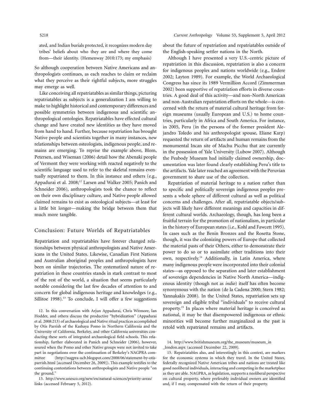ated, and Indian burials protected, it recognizes modern day tribes' beliefs about who they are and where they come from—their identity. (Hemenway 2010:173; my emphasis)

So although cooperation between Native Americans and anthropologists continues, as each reaches to claim or reclaim what they perceive as their rightful subjects, more struggles may emerge as well.

Like conceiving all repatriatables as similar things, picturing repatriatables as subjects is a generalization I am willing to make to highlight historical and contemporary differences and possible symmetries between indigenous and scientific anthropological ontologies. Repatriatables have effected cultural change and have created new identities as they have moved from hand to hand. Further, because repatriation has brought Native people and scientists together in many instances, new relationships between osteologists, indigenous people, and remains are emerging. To reprise the example above, Blom, Petersen, and Wiseman (2006) detail how the Abenaki people of Vermont they were working with reacted negatively to the scientific language used to refer to the skeletal remains eventually repatriated to them. In this instance and others (e.g., Appadurai et al. 2008;<sup>12</sup> Larsen and Walker 2005; Panich and Schneider 2006), anthropologists took the chance to reflect on their own disciplinary culture, and Native people allowed claimed remains to exist as osteological subjects—at least for a little bit longer—making the bridge between them that much more tangible.

#### Conclusion: Future Worlds of Repatriatables

Repatriation and repatriatables have forever changed relationships between physical anthropologists and Native Americans in the United States. Likewise, Canadian First Nations and Australian aboriginal peoples and anthropologists have been on similar trajectories. The systematized nature of repatriation in these countries stands in stark contrast to most of the rest of the world, a situation that seems particularly notable considering the last few decades of attention to and concern for global indigenous heritage and knowledges (e.g., Sillitoe 1998).<sup>13</sup> To conclude, I will offer a few suggestions

12. In this conversation with Arjun Appadurai, Chris Witmore, Ian Hodder, and others discuss the productive "hybridization" (Appadurai et al. 2008:213) of archaeological and Native ritual practices accomplished by Otis Parrish of the Kashaya Pomo in Northern California and the University of California, Berkeley, and other California universities conducting these sorts of integrated archaeological field schools. This relationship, further elaborated in Panich and Schneider (2006), however, soured when the Pomo and other Native groups were not invited to take part in negotiations over the continuation of Berkeley's NAGPRA committee [\(http://nagpra-ucb.blogspot.com/2008/06/statement-by-otis](http://nagpra-ucb.blogspot.com/2008/06/statement-by-otis-parrish.html)[parrish.html \[](http://nagpra-ucb.blogspot.com/2008/06/statement-by-otis-parrish.html)accessed December 26, 2009]). This example testifies to the continuing contestations between anthropologists and Native people "on the ground."

13. [http://www.unesco.org/new/en/natural-sciences/priority-areas/](http://www.unesco.org/new/en/natural-sciences/priority-areas/links) [links](http://www.unesco.org/new/en/natural-sciences/priority-areas/links) (accessed February 5, 2012).

about the future of repatriation and repatriatables outside of the English-speaking settler nations in the North.

Although I have presented a very U.S.-centric picture of repatriation in this discussion, repatriation is also a concern for indigenous peoples and nations worldwide (e.g., Endere 2002; Layton 1989). For example, the World Archaeological Congress has since its 1989 Vermillion Accord (Zimmerman 2002) been supportive of repatriation efforts in diverse countries. A good deal of this activity—and non–North American and non-Australian repatriation efforts on the whole—is concerned with the return of material cultural heritage from foreign museums (usually European and U.S.) to home countries, particularly in Africa and South America. For instance, in 2005, Peru (in the persons of the former president Alejandro Toledo and his anthropologist spouse, Eliane Karp) requested the return of artifacts and human remains from the monumental Incan site of Machu Picchu that are currently in the possession of Yale University (Lubow 2007). Although the Peabody Museum had initially claimed ownership, documentation was later found clearly establishing Peru's title to the artifacts. Yale later reached an agreement with the Peruvian government to share use of the collection.

Repatriation of material heritage to a nation rather than to specific and politically sovereign indigenous peoples presents a whole sphere of different cultural as well as political concerns and challenges. After all, repatriatable objects/subjects will likely have different meanings and capacities in different cultural worlds. Archaeology, though, has long been a fruitful terrain for the promotion of nationalism, in particular in the history of European states (i.e., Kohl and Fawcett 1995). In cases such as the Benin Bronzes and the Rosetta Stone, though, it was the colonizing powers of Europe that collected the material pasts of their Others, either to demonstrate their power to do so or to assimilate other traditions into their own, respectively.<sup>14</sup> Additionally, in Latin America, where many indigenous people were incorporated into their colonial states—as opposed to the separation and later establishment of sovereign dependencies in Native North America—indigenous identity (though not as *indio*) itself has often become synonymous with the nation (de la Cadena 2000; Stern 1982; Yannakakis 2008). In the United States, repatriation sets up sovereign and eligible tribal "individuals" to receive cultural property.15 In places where material heritage is conceived as national, it may be that disempowered indigenous or ethnic minorities will become further marginalized as the past is retold with repatriated remains and artifacts.

14. [http://www.britishmuseum.org/the\\_museum/museum\\_in](http://www.britishmuseum.org/the_museum/museum_in_london.aspx) london.aspx (accessed December 22, 2009).

15. Repatriatables also, and interestingly in this context, are markers for the economic systems in which they travel. In the United States, federally recognized Native American tribes and nations are treated like good neoliberal individuals, interacting and competing in the marketplace as they are able. NAGPRA, as legislation, supports a neoliberal perspective on cultural property, where preferably individual owners are identified and, if I may, compensated with the return of their property.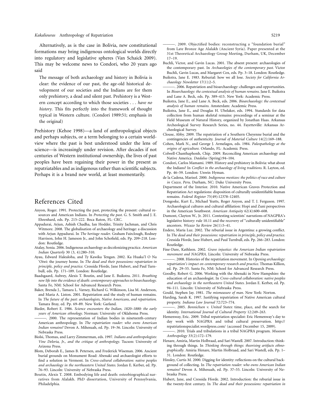Alternatively, as is the case in Bolivia, new constitutional formations may bring indigenous ontological worlds directly into regulatory and legislative spheres (Van Schaick 2009). This may be welcome news to Condori, who 20 years ago said

The message of both archaeology and history in Bolivia is clear: the evidence of our past, the age-old historical development of our societies and the Indians are for them only prehistory, a dead and silent past. Prehistory is a Western concept according to which those societies . . . *have no history*. This fits perfectly into the framework of thought typical in Western culture. (Condori 1989:51; emphasis in the original)

Prehistory (Kehoe 1998)—a land of anthropological objects and perhaps subjects, or a term belonging to a certain worldview where the past is best understood under the lens of science—is increasingly under revision. After decades if not centuries of Western institutional ownership, the lives of past peoples have been regaining their power in the present as repatriatables and as indigenous rather than scientific subjects. Perhaps it is a brand new world, at least momentarily.

### References Cited

- Anyon, Roger. 1991. Protecting the past, protecting the present: cultural resources and American Indians. In *Protecting the past*. G. S. Smith and J. E. Ehrenhard, eds. Pp. 215–222. Boca Raton, FL: CRC.
- Appadurai, Arjun, Ashish Chadha, Ian Hodder, Trinity Jachman, and Chris Witmore. 2008. The globalisation of archaeology and heritage: a discussion with Arjun Appadurai. In *The heritage reader*. Graham Fairclough, Rodney Harrison, John H. Jameson Jr., and John Schofield, eds. Pp. 209–218. London: Routledge.
- Atalay, Sonia. 2006. Indigenous archaeology as decolonizing practice. *American Indian Quarterly* 30 (3, 4):280–310.
- Ayau, Edward Halealoha, and Ty Kawika Tengan. 2002. Ka Huaka'I O Na 'Oiwi: the journey home. In *The dead and their possessions: repatriation in principle, policy and practice*. Cressida Fforde, Jane Hubert, and Paul Turnbull, eds. Pp. 171–189. London: Routledge.
- Baadsgaard, Aubrey, Alexis T. Boutin, and Jane E. Buikstra. 2011. *Breathing new life into the evidence of death: contemporary approaches to bioarchaeology*. Santa Fe, NM: School for Advanced Research Press.
- Baker, Brenda J., Tamara L. Varney, Richard G. Wilkinson, Lisa M. Anderson, and Maria A. Liston. 2001. Repatriation and the study of human remains. In *The future of the past: archaeologists, Native Americans, and repatriation*. Tamara Bray, ed. Pp. 69–89. New York: Garland.
- Bieder, Robert E. 1986. *Science encounters the Indian, 1820–1880: the early years of American ethnology*. Norman: University of Oklahoma Press.
- 2000. The representation of Indian bodies in nineteenth-century American anthropology. In *The repatriation reader: who owns American Indian remains?* Devon A. Mihesuah, ed. Pp. 19–36. Lincoln: University of Nebraska Press.
- Biolsi, Thomas, and Larry Zimmerman, eds. 1997. *Indians and anthropologists: Vine Deloria, Jr., and the critique of anthropology*. Tucson: University of Arizona Press.
- Blom, Deborah E., James B. Petersen, and Frederick Wiseman. 2006. Ancient burial grounds on Monument Road: Abenaki and archaeologist efforts to find a solution in Vermont. In *Cross-cultural collaboration: native peoples and archaeology in the northeastern United States*. Jordan E. Kerber, ed. Pp. 76–93. Lincoln: University of Nebraska Press.
- Boutin, Alexis T. 2008. Embodying life and death: osteobiographical narratives from Alalakh. PhD dissertation, University of Pennsylvania, Philadelphia.
- . 2009. Objectified bodies: reconstructing a "foundation burial" from Late Bronze Age Alalakh (Ancient Syria). Paper presented at the 31st Theoretical Archaeology Group Meeting, Durham, UK, December 17–19.
- Buchli, Victor, and Gavin Lucas. 2001. The absent present: archaeologies of the contemporary past. In *Archaeologies of the contemporary past*. Victor Buchli, Gavin Lucas, and Margaret Cox, eds. Pp. 3–18. London: Routledge.
- Buikstra, Jane E. 1983. Reburial: how we all lose. *Society for California Archaeology Newsletter* 17(1):2–5.
- . 2006. Repatriation and bioarchaeology: challenges and opportunities. In *Bioarchaeology: the contextual analysis of human remains*. Jane E. Buikstra and Lane A. Beck, eds. Pp. 389–415. New York: Academic Press.
- Buikstra, Jane E., and Lane A. Beck, eds. 2006. *Bioarchaeology: the contextual analysis of human remains*. Amsterdam: Academic Press.
- Buikstra, Jane E., and Douglas H. Ubelaker, eds. 1994. Standards for data collection from human skeletal remains: proceedings of a seminar at the Field Museum of Natural History, organized by Jonathan Haas. Arkansas Archeological Survey Research Series, no. 44. Fayetteville: Arkansas Archeological Survey.
- Clouse, Abby. 2009. The repatriation of a Southern Cheyenne burial and the contingencies of authenticity. *Journal of Material Culture* 14(2):169–188.
- Cohen, Mark N., and George J. Armelagos, eds. 1984. *Paleopathology at the origins of agriculture*. Orlando, FL: Academic Press.
- Colwell-Chanthaphonh, Chip. 2009. Reconciling American archaeology and Native America. *Dædalus* (Spring):94–104.
- Condori, Carlos Mamami. 1989. History and prehistory in Bolivia: what about the Indians? In *Conflict in the archaeology of living traditions*. R. Layton, ed. Pp. 46–59. London: Unwin Hyman.
- de la Cadena, Marisol. 2000. *Indigenous mestizos: the politics of race and culture in Cuzco, Peru*. Durham, NC: Duke University Press.
- Department of the Interior. 2010. Native American Graves Protection and Repatriation Act regulations: disposition of culturally unidentifiable human remains. *Federal Register* 75(49):12378–12405.
- Dongoske, Kurt E., Michael Yeatts, Roger Anyon, and T. J. Ferguson. 1997. Archaeological cultures and cultural affiliation: Hopi and Zuni perspectives in the American Southwest. *American Antiquity* 62(4):600–608.
- Dumont, Clayton W., Jr. 2011. Contesting scientists' narrations of NAGPRA's legislative history: rule 10.11 and the recovery of "culturally unidentifiable" ancestors. *Wicazo Sa Review* 26(1):5–41.
- Endere, María Luz. 2002. The reburial issue in Argentina: a growing conflict. In *The dead and their possessions: repatriation in principle, policy and practice*. Cressida Fforde, Jane Hubert, and Paul Turnbull, eds. Pp. 266–283. London: Routledge.
- Fine-Dare, Kathleen. 2002. *Grave injustice: the American Indian repatriation movement and NAGPRA*. Lincoln: University of Nebraska Press.
- ———. 2008. Histories of the repatriation movement. In *Opening archaeology: repatriation's impact on contemporary research and practice*. Thomas Killion, ed. Pp. 29–55. Santa Fe, NM: School for Advanced Research Press.
- Goodby, Robert G. 2006. Working with the Abenaki in New Hampshire: the education of an archaeologist. In *Cross-cultural collaboration: native peoples and archaeology in the northeastern United States*. Jordan E. Kerber, ed. Pp. 94–111. Lincoln: University of Nebraska Press.
- Gould, Stephen Jay. 1981. *The mismeasure of man*. New York: Norton.
- Harding, Sarah K. 1997. Justifying repatriation of Native American cultural property. *Indiana Law Journal* 72:723–774.
- ———. 2005. *Bonnichsen v. United States*: time, place, and the search for identity. *International Journal of Cultural Property* 12:249–263.
- Hemenway, Eric. 2009. Tribal repatriation specialist: Eric Hemenway's day to day work with NAGPRA and tribal cultural preservation. [http://](http://repatriationspecialist.wordpress.com/) [repatriationspecialist.wordpress.com/](http://repatriationspecialist.wordpress.com/) (accessed December 15, 2009).
- ———. 2010. Trials and tribulations in a tribal NAGPRA program. *Museum Anthropology* 33(2):172–179.
- Henare, Amiria, Martin Holbraad, and Sari Wastell. 2007. Introduction: thinking through things. In *Thinking through things: theorising artifacts ethnographically*. Amiria Henare, Martin Holbraad, and Sari Wastell, eds. Pp. 1– 31. London: Routledge.
- Hinsley, Curtis M. 2000. Digging for identity: reflections on the cultural background of collecting. In *The repatriation reader: who owns American Indian remains?* Devon A. Mihesuah, ed. Pp. 37–55. Lincoln: University of Nebraska Press.
- Hubert, Jane, and Cressida Fforde. 2002. Introduction: the reburial issue in the twenty-first century. In *The dead and their possessions: repatriation in*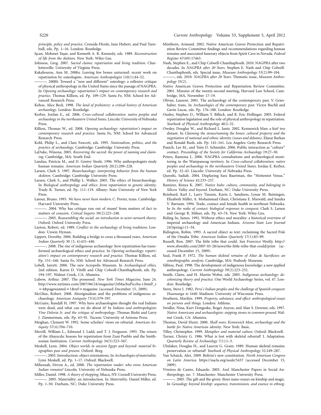*principle, policy and practice*. Cressida Fforde, Jane Hubert, and Paul Turnbull, eds. Pp. 1–16. London: Routledge.

- Işcan, Mehmet Yaşar, and Kenneth A. R. Kennedy, eds. 1989. *Reconstruction of life from the skeleton*. New York: Wiley-Liss.
- Johnson, Greg. 2007. *Sacred claims: repatriation and living tradition*. Charlottesville: University of Virginia Press.
- Kakaliouras, Ann M. 2008*a*. Leaving few bones unturned: recent work on repatriation by osteologists. *American Anthropologist* 110(1):44–52.
- ———. 2008*b*. Toward a "new and different" osteology: a reflexive critique of physical anthropology in the United States since the passage of NAGPRA. In *Opening archaeology: repatriation's impact on contemporary research and practice*. Thomas Killion, ed. Pp. 109–129. Santa Fe, NM: School for Advanced Research Press.
- Kehoe, Alice Beck. 1998. *The land of prehistory: a critical history of American archaeology*. London: Routledge.
- Kerber, Jordan E., ed. 2006. *Cross-cultural collaboration: native peoples and archaeology in the northeastern United States*. Lincoln: University of Nebraska Press.
- Killion, Thomas W., ed. 2008. *Opening archaeology: repatriation's impact on contemporary research and practice*. Santa Fe, NM: School for Advanced Research Press.
- Kohl, Philip L., and Clare Fawcett, eds. 1995. *Nationalism, politics, and the practice of archaeology*. Cambridge: Cambridge University Press.
- LaDuke, Winona. 2005. *Recovering the sacred: the power of naming and claiming*. Cambridge, MA: South End.
- Landau, Patricia M., and D. Gentry Steele. 1996. Why anthropologists study human remains. *American Indian Quarterly* 20(2):209–228.
- Larsen, Clark S. 1997. *Bioarchaeology: interpreting behavior from the human skeleton*. Cambridge: Cambridge University Press.
- Larsen, Clark S., and Phillip L. Walker. 2005. The ethics of bioarchaeology. In *Biological anthropology and ethics: from repatriation to genetic identity*. Trudy R. Turner, ed. Pp. 111–119. Albany: State University of New York Press.
- Latour, Bruno. 1993. *We have never been modern*. C. Porter, trans. Cambridge: Harvard University Press.
- ———. 2004. Why has critique run out of steam? from matters of fact to matters of concern. *Critical Inquiry* 30(2):225–248.
- ———. 2005. *Reassembling the social: an introduction to actor-network theory*. Oxford: Oxford University Press.
- Layton, Robert, ed. 1989. *Conflict in the archaeology of living traditions*. London: Unwin Hyman.
- Lippert, Dorothy. 2006. Building a bridge to cross a thousand years. *American Indian Quarterly* 30 (3, 4):431–440.
- . 2008. The rise of indigenous archaeology: how repatriation has transformed archaeological ethics and practice. In *Opening archaeology: repatriation's impact on contemporary research and practice*. Thomas Killion, ed. Pp. 151–160. Santa Fe, NM: School for Advanced Research Press.
- Lobell, Jarrett. 2006. The new Acropolis Museum. In *Archaeological ethics*. 2nd edition. Karen D. Vitelli and Chip Colwell-Chanthaphonh, eds. Pp. 194–197. Walnut Creek, CA: Altamira.
- Lubow, Arthur. 2007. The possessed. *New York Times Magazine*, June 24. [http://www.nytimes.com/2007/06/24/magazine/24MachuPicchu-t.html?\\_r](http://www.nytimes.com/2007/06/24/magazine/24MachuPicchu-t.html?_r=4%26amp%3Bpagewanted=1%26amp%3Bref=magazine)  $p=4$ &pagewanted = 1&ref = magazine (accessed December 15, 2009).
- McGhee, Robert. 2008. Aboriginalism and the problems of indigenous archaeology. *American Antiquity* 73(4):579–597.
- McGuire, Randall H. 1997. Why have archaeologists thought the real Indians were dead, and what can we do about it? In *Indians and anthropologists: Vine Deloria Jr. and the critique of anthropology*. Thomas Biolsi and Larry J. Zimmerman, eds. Pp. 63–91. Tucson: University of Arizona Press.
- Meighan, Clement W. 1992. Some scholars' views on reburial. *American Antiquity* 57(4):704–710.
- Merrill, William L., Edmund J. Ladd, and T. J. Ferguson. 1993. The return of the Ahayu:da: lessons for repatriation from Zuni Pueblo and the Smithsonian Institution. *Current Anthropology* 34(5):523–567.
- Meskell, Lynn. 2004. *Object worlds in ancient Egypt and beyond: material biographies past and present*. Oxford: Berg.
- ———. 2005. Introduction: object orientations. In *Archaeologies of materiality*. Lynn Meskell, ed. Pp. 1–17. Oxford: Blackwell.
- Mihesuah, Devon A., ed. 2000. *The repatriation reader: who owns American Indian remains?* Lincoln: University of Nebraska Press.
- Miller, Daniel. 1998. *A theory of shopping*. Ithaca, NY: Cornell University Press. ———. 2005. Materiality: an introduction. In *Materiality*. Daniel Miller, ed.
	- Pp. 1–50. Durham, NC: Duke University Press.
- Minthorn, Armand. 2002. Native American Graves Protection and Repatriation Review Committee findings and recommendations regarding human remains and associated funerary objects from Spirit Cave in Nevada. *Federal Register* 67(69):17463.
- Nash, Stephen E., and Chip Colwell-Chanthaphonh. 2010. NAGPRA after two decades. In *NAGPRA after 20 Years*. Stephen E. Nash and Chip Colwell-Chanthaphonh, eds. Special issue, *Museum Anthropology* 33(2):99–104.
- ———, eds. 2010. *NAGPRA after 20 Years*. Thematic issue, *Museum Anthropology* 33(2).
- Native American Graves Protection and Repatriation Review Committee. 2001. Minutes of the twenty-second meeting, Harvard Law School, Cambridge, MA, November 17–19.
- Olivier, Laurent. 2001. The archaeology of the contemporary past. V. Grieshaber, trans. In *Archaeologies of the contemporary past*. Victor Buchli and Gavin Lucas, eds. Pp. 176–188. London: Routledge.
- Ousley, Stephen D., William T. Billeck, and R. Eric Hollinger. 2005. Federal repatriation legislation and the role of physical anthropology in repatriation. *Yearbook of Physical Anthropology* 48:2–32.
- Owsley, Douglas W., and Richard L. Jantz. 2002. Kennewick Man: a kin? too distant. In *Claiming the stones/naming the bones: cultural property and the negotiation of national and ethnic identity (issues and debates)*. Elazar Barkan and Ronald Bush, eds. Pp. 141–161. Los Angeles: Getty Research Press.
- Panich, Lee M., and Tsim D. Schneider. 2006. Public interaction as "culture" contact. *Proceedings of the Society for California Archaeology* 19:27–30.
- Peters, Ramona L. 2006. NAGPRA consultations and archaeological monitoring in the Wampanoag territory. In *Cross-cultural collaboration: native peoples and archaeology in the northeastern United States*. Jordan E. Kerber, ed. Pp. 32–43. Lincoln: University of Nebraska Press.
- Qureshi, Sadiah. 2004. Displaying Sara Baartman, the "Hottentot Venus." *History of Science* 42:233–257.
- Ramirez, Renya K. 2007. *Native hubs: culture, community, and belonging in Silicon Valley and beyond*. Durham, NC: Duke University Press.
- Reinhard, Karl J., Larry Tieszen, Karin L. Sandness, Lynae M. Beiningen, Elizabeth Miller, A. Mohammad Ghazi, Christiana E. Miewald, and Sandra V. Barnum. 1994. Trade, contact and female health in northeast Nebraska. In *In the wake of contact: biological responses to conquest*. Clark S. Larsen and George R. Milner, eds. Pp. 63–74. New York: Wiley-Liss.
- Riding In, James. 1992. Without ethics and morality: a historical overview of imperial archaeology and American Indians. *Arizona State Law Journal* 24(Spring):11–34.
- Ridington, Robin. 1993. A sacred object as text: reclaiming the Sacred Pole of the Omaha Tribe. *American Indian Quarterly* 17(1):83–99.
- Russell, Ron. 2007. The little tribe that could. *San Francisco Weekly*. [http://](http://www.sfweekly.com/2007-03-28/news/the-little-tribe-that-could/print) [www.sfweekly.com/2007-03-28/news/the-little-tribe-that-could/print](http://www.sfweekly.com/2007-03-28/news/the-little-tribe-that-could/print) (accessed December 15, 2009).
- Saul, Frank P. 1972. *The human skeletal remains of Altar de Sacrificios: an osteobiographic analysis*. Cambridge, MA: Peabody Museum.
- Sillitoe, Paul. 1998. The development of indigenous knowledge: a new applied anthropology. *Current Anthropology* 39(2):223–252.
- Smith, Claire, and H. Martin Wobst, eds. 2005. *Indigenous archaeology: decolonizing theory and practice*. One World Archaeology Series, vol. 47. London: Routledge.
- Stern, Steve J. 1982. *Peru's Indian peoples and the challenge of Spanish conquest: Huamanga to 1640*. Madison: University of Wisconsin Press.
- Strathern, Marilyn. 1999. *Property, substance, and effect: anthropological essays on persons and things*. London: Athlone.
- Swidler, Nina, Kurt Dongoske, Roger Anyon, and Alan S. Downer, eds. 1997. *Native Americans and archaeologists: stepping stones to common ground*. Walnut Creek, CA: Altamira.
- Thomas, David Hurst. 2000. *Skull wars: Kennewick Man, archaeology and the battle for Native American identity*. New York: Basic.
- Tilley, Christopher. 1999. *Metaphor and material culture*. Oxford: Blackwell.
- Turner, Christy G. 1986. What is lost with skeletal reburial? I. Adaptation. *Quarterly Review of Archaeology* 7(1):1–3.
- Ubelaker, Douglas H., and Lauryn G. Grant. 1989. Human skeletal remains: preservation or reburial? *Yearbook of Physical Anthropology* 32:249–287.
- Van Schaick, Alex. 2009. Bolivia's new constitution. *North American Congress on Latin America*.<https://nacla.org/node/5437> (accessed December 15, 2009).
- Viveiros de Castro, Eduardo. 2003. *And*. Manchester Papers in Social Anthropology, no. 7. Manchester: Manchester University Press.
- 2005. The gift and the given: three nano-essays on kinship and magic. In *Genealogy beyond kinship: sequence, transmission, and essence in ethnog-*